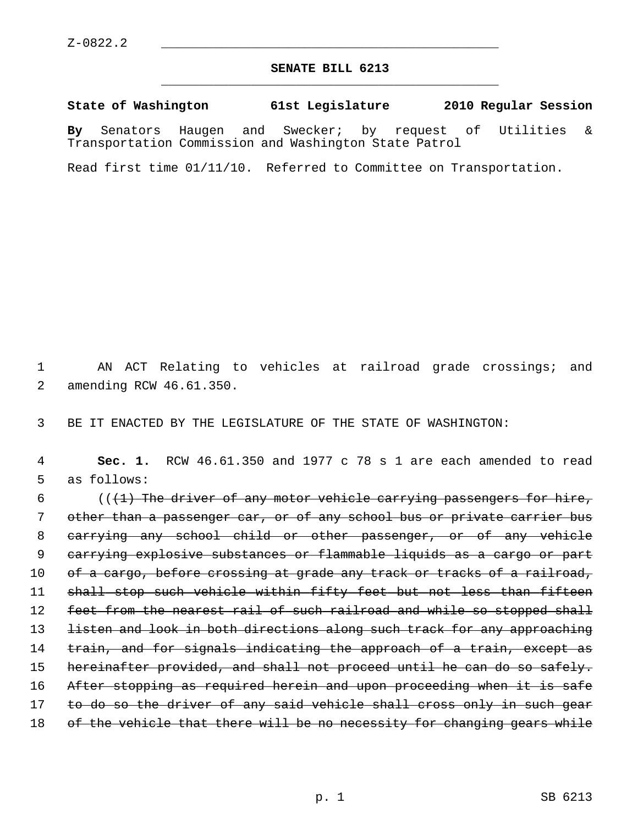## **SENATE BILL 6213** \_\_\_\_\_\_\_\_\_\_\_\_\_\_\_\_\_\_\_\_\_\_\_\_\_\_\_\_\_\_\_\_\_\_\_\_\_\_\_\_\_\_\_\_\_

**State of Washington 61st Legislature 2010 Regular Session**

**By** Senators Haugen and Swecker; by request of Utilities & Transportation Commission and Washington State Patrol

Read first time 01/11/10. Referred to Committee on Transportation.

 1 AN ACT Relating to vehicles at railroad grade crossings; and 2 amending RCW 46.61.350.

3 BE IT ENACTED BY THE LEGISLATURE OF THE STATE OF WASHINGTON:

 4 **Sec. 1.** RCW 46.61.350 and 1977 c 78 s 1 are each amended to read 5 as follows:

6  $($   $($   $($   $+$   $)$  The driver of any motor vehicle carrying passengers for hire, 7 other than a passenger car, or of any school bus or private carrier bus 8 carrying any school child or other passenger, or of any vehicle 9 carrying explosive substances or flammable liquids as a cargo or part 10 of a cargo, before crossing at grade any track or tracks of a railroad, 11 shall stop such vehicle within fifty feet but not less than fifteen 12 feet from the nearest rail of such railroad and while so stopped shall 13 listen and look in both directions along such track for any approaching 14 train, and for signals indicating the approach of a train, except as 15 hereinafter provided, and shall not proceed until he can do so safely. 16 After stopping as required herein and upon proceeding when it is safe 17 to do so the driver of any said vehicle shall cross only in such gear 18 of the vehicle that there will be no necessity for changing gears while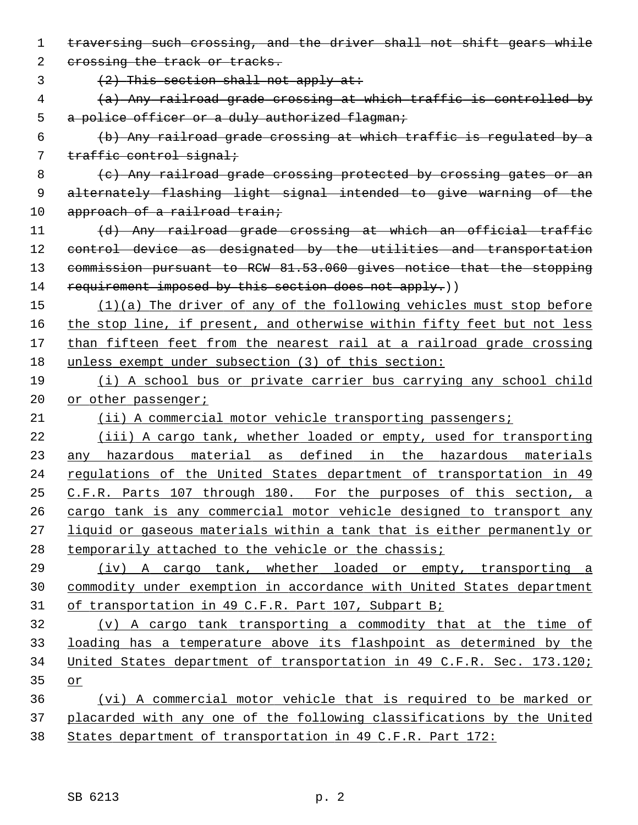| $\mathbf 1$ | traversing such crossing, and the driver shall not shift gears while    |
|-------------|-------------------------------------------------------------------------|
| 2           | crossing the track or tracks.                                           |
| 3           | $(2)$ This section shall not apply at:                                  |
| 4           | (a) Any railroad grade crossing at which traffic is controlled by       |
| 5           | a police officer or a duly authorized flagman;                          |
| 6           | (b) Any railroad grade crossing at which traffic is regulated by a      |
| 7           | traffic control signal;                                                 |
| 8           | (c) Any railroad grade crossing protected by crossing gates or an       |
| 9           | alternately flashing light signal intended to give warning of the       |
| 10          | approach of a railroad train;                                           |
| 11          | (d) Any railroad grade crossing at which an official traffic            |
| 12          | control device as designated by the utilities and transportation        |
| 13          | commission pursuant to RCW 81.53.060 gives notice that the stopping     |
| 14          | requirement imposed by this section does not apply.))                   |
| 15          | $(1)(a)$ The driver of any of the following vehicles must stop before   |
| 16          | the stop line, if present, and otherwise within fifty feet but not less |
| 17          | than fifteen feet from the nearest rail at a railroad grade crossing    |
| 18          | unless exempt under subsection (3) of this section:                     |
| 19          | (i) A school bus or private carrier bus carrying any school child       |
| 20          | or other passenger;                                                     |
| 21          | (ii) A commercial motor vehicle transporting passengers;                |
| 22          | (iii) A cargo tank, whether loaded or empty, used for transporting      |
| 23          |                                                                         |
|             | any hazardous material as defined in the hazardous materials            |
| 24          | regulations of the United States department of transportation in 49     |
| 25          | C.F.R. Parts 107 through 180. For the purposes of this section, a       |
| 26          | cargo tank is any commercial motor vehicle designed to transport any    |
| 27          | liquid or gaseous materials within a tank that is either permanently or |
| 28          | temporarily attached to the vehicle or the chassis;                     |
| 29          | (iv) A cargo tank, whether loaded or empty, transporting a              |
| 30          | commodity under exemption in accordance with United States department   |
| 31          | of transportation in 49 C.F.R. Part 107, Subpart B;                     |
| 32          | (v) A cargo tank transporting a commodity that at the time of           |
| 33          | loading has a temperature above its flashpoint as determined by the     |
| 34          | United States department of transportation in 49 C.F.R. Sec. 173.120;   |
| 35          | or                                                                      |
| 36          | (vi) A commercial motor vehicle that is required to be marked or        |
| 37          | placarded with any one of the following classifications by the United   |